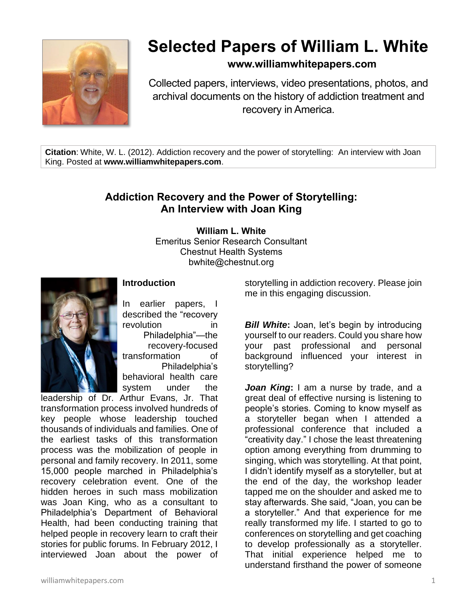

## **Selected Papers of William L. White**

## **www.williamwhitepapers.com**

Collected papers, interviews, video presentations, photos, and archival documents on the history of addiction treatment and recovery in America.

**Citation**: White, W. L. (2012). Addiction recovery and the power of storytelling: An interview with Joan King. Posted at **www.williamwhitepapers.com**.

## **Addiction Recovery and the Power of Storytelling: An Interview with Joan King**

**William L. White** Emeritus Senior Research Consultant Chestnut Health Systems bwhite@chestnut.org



## **Introduction**

In earlier papers, I described the "recovery revolution in Philadelphia"—the recovery-focused transformation of Philadelphia's behavioral health care system under the

leadership of Dr. Arthur Evans, Jr. That transformation process involved hundreds of key people whose leadership touched thousands of individuals and families. One of the earliest tasks of this transformation process was the mobilization of people in personal and family recovery. In 2011, some 15,000 people marched in Philadelphia's recovery celebration event. One of the hidden heroes in such mass mobilization was Joan King, who as a consultant to Philadelphia's Department of Behavioral Health, had been conducting training that helped people in recovery learn to craft their stories for public forums. In February 2012, I interviewed Joan about the power of

storytelling in addiction recovery. Please join me in this engaging discussion.

*Bill White*: Joan, let's begin by introducing yourself to our readers. Could you share how your past professional and personal background influenced your interest in storytelling?

*Joan King***:** I am a nurse by trade, and a great deal of effective nursing is listening to people's stories. Coming to know myself as a storyteller began when I attended a professional conference that included a "creativity day." I chose the least threatening option among everything from drumming to singing, which was storytelling. At that point, I didn't identify myself as a storyteller, but at the end of the day, the workshop leader tapped me on the shoulder and asked me to stay afterwards. She said, "Joan, you can be a storyteller." And that experience for me really transformed my life. I started to go to conferences on storytelling and get coaching to develop professionally as a storyteller. That initial experience helped me to understand firsthand the power of someone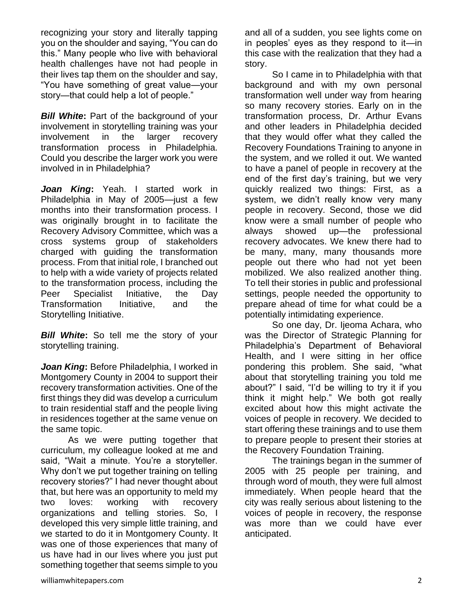recognizing your story and literally tapping you on the shoulder and saying, "You can do this." Many people who live with behavioral health challenges have not had people in their lives tap them on the shoulder and say, "You have something of great value—your story—that could help a lot of people."

*Bill White***:** Part of the background of your involvement in storytelling training was your involvement in the larger recovery transformation process in Philadelphia. Could you describe the larger work you were involved in in Philadelphia?

*Joan King***:** Yeah. I started work in Philadelphia in May of 2005—just a few months into their transformation process. I was originally brought in to facilitate the Recovery Advisory Committee, which was a cross systems group of stakeholders charged with guiding the transformation process. From that initial role, I branched out to help with a wide variety of projects related to the transformation process, including the Peer Specialist Initiative, the Day Transformation Initiative, and the Storytelling Initiative.

*Bill White***:** So tell me the story of your storytelling training.

*Joan King***:** Before Philadelphia, I worked in Montgomery County in 2004 to support their recovery transformation activities. One of the first things they did was develop a curriculum to train residential staff and the people living in residences together at the same venue on the same topic.

As we were putting together that curriculum, my colleague looked at me and said, "Wait a minute. You're a storyteller. Why don't we put together training on telling recovery stories?" I had never thought about that, but here was an opportunity to meld my two loves: working with recovery organizations and telling stories. So, I developed this very simple little training, and we started to do it in Montgomery County. It was one of those experiences that many of us have had in our lives where you just put something together that seems simple to you

and all of a sudden, you see lights come on in peoples' eyes as they respond to it—in this case with the realization that they had a story.

So I came in to Philadelphia with that background and with my own personal transformation well under way from hearing so many recovery stories. Early on in the transformation process, Dr. Arthur Evans and other leaders in Philadelphia decided that they would offer what they called the Recovery Foundations Training to anyone in the system, and we rolled it out. We wanted to have a panel of people in recovery at the end of the first day's training, but we very quickly realized two things: First, as a system, we didn't really know very many people in recovery. Second, those we did know were a small number of people who always showed up—the professional recovery advocates. We knew there had to be many, many, many thousands more people out there who had not yet been mobilized. We also realized another thing. To tell their stories in public and professional settings, people needed the opportunity to prepare ahead of time for what could be a potentially intimidating experience.

So one day, Dr. Ijeoma Achara, who was the Director of Strategic Planning for Philadelphia's Department of Behavioral Health, and I were sitting in her office pondering this problem. She said, "what about that storytelling training you told me about?" I said, "I'd be willing to try it if you think it might help." We both got really excited about how this might activate the voices of people in recovery. We decided to start offering these trainings and to use them to prepare people to present their stories at the Recovery Foundation Training.

The trainings began in the summer of 2005 with 25 people per training, and through word of mouth, they were full almost immediately. When people heard that the city was really serious about listening to the voices of people in recovery, the response was more than we could have ever anticipated.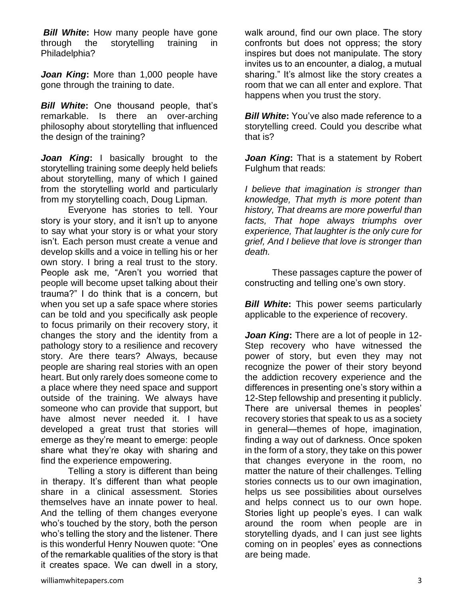*Bill White:* How many people have gone through the storytelling training in Philadelphia?

*Joan King***:** More than 1,000 people have gone through the training to date.

*Bill White***:** One thousand people, that's remarkable. Is there an over-arching philosophy about storytelling that influenced the design of the training?

*Joan King***:** I basically brought to the storytelling training some deeply held beliefs about storytelling, many of which I gained from the storytelling world and particularly from my storytelling coach, Doug Lipman.

Everyone has stories to tell. Your story is your story, and it isn't up to anyone to say what your story is or what your story isn't. Each person must create a venue and develop skills and a voice in telling his or her own story. I bring a real trust to the story. People ask me, "Aren't you worried that people will become upset talking about their trauma?" I do think that is a concern, but when you set up a safe space where stories can be told and you specifically ask people to focus primarily on their recovery story, it changes the story and the identity from a pathology story to a resilience and recovery story. Are there tears? Always, because people are sharing real stories with an open heart. But only rarely does someone come to a place where they need space and support outside of the training. We always have someone who can provide that support, but have almost never needed it. I have developed a great trust that stories will emerge as they're meant to emerge: people share what they're okay with sharing and find the experience empowering.

Telling a story is different than being in therapy. It's different than what people share in a clinical assessment. Stories themselves have an innate power to heal. And the telling of them changes everyone who's touched by the story, both the person who's telling the story and the listener. There is this wonderful Henry Nouwen quote: "One of the remarkable qualities of the story is that it creates space. We can dwell in a story,

walk around, find our own place. The story confronts but does not oppress; the story inspires but does not manipulate. The story invites us to an encounter, a dialog, a mutual sharing." It's almost like the story creates a room that we can all enter and explore. That happens when you trust the story.

*Bill White***:** You've also made reference to a storytelling creed. Could you describe what that is?

*Joan King***:** That is a statement by Robert Fulghum that reads:

*I believe that imagination is stronger than knowledge, That myth is more potent than history, That dreams are more powerful than facts, That hope always triumphs over experience, That laughter is the only cure for grief, And I believe that love is stronger than death.* 

These passages capture the power of constructing and telling one's own story.

*Bill White***:** This power seems particularly applicable to the experience of recovery.

*Joan King***:** There are a lot of people in 12- Step recovery who have witnessed the power of story, but even they may not recognize the power of their story beyond the addiction recovery experience and the differences in presenting one's story within a 12-Step fellowship and presenting it publicly. There are universal themes in peoples' recovery stories that speak to us as a society in general—themes of hope, imagination, finding a way out of darkness. Once spoken in the form of a story, they take on this power that changes everyone in the room, no matter the nature of their challenges. Telling stories connects us to our own imagination, helps us see possibilities about ourselves and helps connect us to our own hope. Stories light up people's eyes. I can walk around the room when people are in storytelling dyads, and I can just see lights coming on in peoples' eyes as connections are being made.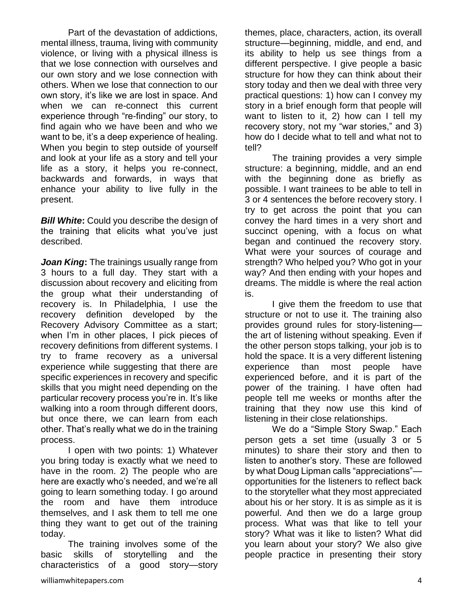Part of the devastation of addictions, mental illness, trauma, living with community violence, or living with a physical illness is that we lose connection with ourselves and our own story and we lose connection with others. When we lose that connection to our own story, it's like we are lost in space. And when we can re-connect this current experience through "re-finding" our story, to find again who we have been and who we want to be, it's a deep experience of healing. When you begin to step outside of yourself and look at your life as a story and tell your life as a story, it helps you re-connect, backwards and forwards, in ways that enhance your ability to live fully in the present.

*Bill White***:** Could you describe the design of the training that elicits what you've just described.

*Joan King***:** The trainings usually range from 3 hours to a full day. They start with a discussion about recovery and eliciting from the group what their understanding of recovery is. In Philadelphia, I use the recovery definition developed by the Recovery Advisory Committee as a start; when I'm in other places, I pick pieces of recovery definitions from different systems. I try to frame recovery as a universal experience while suggesting that there are specific experiences in recovery and specific skills that you might need depending on the particular recovery process you're in. It's like walking into a room through different doors, but once there, we can learn from each other. That's really what we do in the training process.

I open with two points: 1) Whatever you bring today is exactly what we need to have in the room. 2) The people who are here are exactly who's needed, and we're all going to learn something today. I go around the room and have them introduce themselves, and I ask them to tell me one thing they want to get out of the training today.

The training involves some of the basic skills of storytelling and the characteristics of a good story—story

themes, place, characters, action, its overall structure—beginning, middle, and end, and its ability to help us see things from a different perspective. I give people a basic structure for how they can think about their story today and then we deal with three very practical questions: 1) how can I convey my story in a brief enough form that people will want to listen to it, 2) how can I tell my recovery story, not my "war stories," and 3) how do I decide what to tell and what not to tell?

The training provides a very simple structure: a beginning, middle, and an end with the beginning done as briefly as possible. I want trainees to be able to tell in 3 or 4 sentences the before recovery story. I try to get across the point that you can convey the hard times in a very short and succinct opening, with a focus on what began and continued the recovery story. What were your sources of courage and strength? Who helped you? Who got in your way? And then ending with your hopes and dreams. The middle is where the real action is.

I give them the freedom to use that structure or not to use it. The training also provides ground rules for story-listening the art of listening without speaking. Even if the other person stops talking, your job is to hold the space. It is a very different listening experience than most people have experienced before, and it is part of the power of the training. I have often had people tell me weeks or months after the training that they now use this kind of listening in their close relationships.

We do a "Simple Story Swap." Each person gets a set time (usually 3 or 5 minutes) to share their story and then to listen to another's story. These are followed by what Doug Lipman calls "appreciations" opportunities for the listeners to reflect back to the storyteller what they most appreciated about his or her story. It is as simple as it is powerful. And then we do a large group process. What was that like to tell your story? What was it like to listen? What did you learn about your story? We also give people practice in presenting their story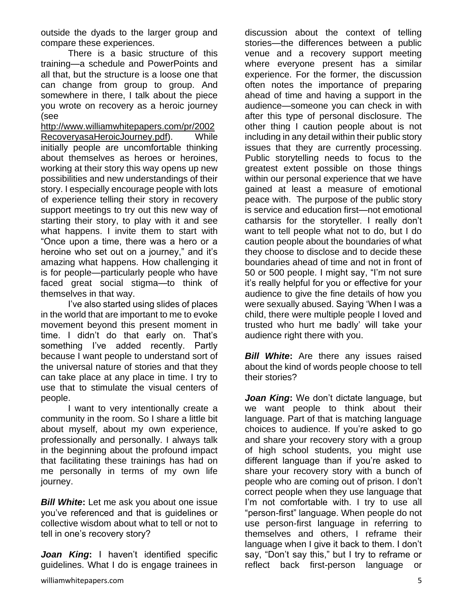outside the dyads to the larger group and compare these experiences.

There is a basic structure of this training—a schedule and PowerPoints and all that, but the structure is a loose one that can change from group to group. And somewhere in there, I talk about the piece you wrote on recovery as a heroic journey (see

[http://www.williamwhitepapers.com/pr/2002](http://www.williamwhitepapers.com/pr/2002RecoveryasaHeroicJourney.pdf) [RecoveryasaHeroicJourney.pdf\)](http://www.williamwhitepapers.com/pr/2002RecoveryasaHeroicJourney.pdf). While initially people are uncomfortable thinking about themselves as heroes or heroines, working at their story this way opens up new possibilities and new understandings of their story. I especially encourage people with lots of experience telling their story in recovery support meetings to try out this new way of starting their story, to play with it and see what happens. I invite them to start with "Once upon a time, there was a hero or a heroine who set out on a journey," and it's amazing what happens. How challenging it is for people—particularly people who have faced great social stigma—to think of themselves in that way.

I've also started using slides of places in the world that are important to me to evoke movement beyond this present moment in time. I didn't do that early on. That's something I've added recently. Partly because I want people to understand sort of the universal nature of stories and that they can take place at any place in time. I try to use that to stimulate the visual centers of people.

I want to very intentionally create a community in the room. So I share a little bit about myself, about my own experience, professionally and personally. I always talk in the beginning about the profound impact that facilitating these trainings has had on me personally in terms of my own life journey.

*Bill White***:** Let me ask you about one issue you've referenced and that is guidelines or collective wisdom about what to tell or not to tell in one's recovery story?

*Joan King***:** I haven't identified specific guidelines. What I do is engage trainees in discussion about the context of telling stories—the differences between a public venue and a recovery support meeting where everyone present has a similar experience. For the former, the discussion often notes the importance of preparing ahead of time and having a support in the audience—someone you can check in with after this type of personal disclosure. The other thing I caution people about is not including in any detail within their public story issues that they are currently processing. Public storytelling needs to focus to the greatest extent possible on those things within our personal experience that we have gained at least a measure of emotional peace with. The purpose of the public story is service and education first—not emotional catharsis for the storyteller. I really don't want to tell people what not to do, but I do caution people about the boundaries of what they choose to disclose and to decide these boundaries ahead of time and not in front of 50 or 500 people. I might say, "I'm not sure it's really helpful for you or effective for your audience to give the fine details of how you were sexually abused. Saying 'When I was a child, there were multiple people I loved and trusted who hurt me badly' will take your audience right there with you.

*Bill White:* Are there any issues raised about the kind of words people choose to tell their stories?

*Joan King***:** We don't dictate language, but we want people to think about their language. Part of that is matching language choices to audience. If you're asked to go and share your recovery story with a group of high school students, you might use different language than if you're asked to share your recovery story with a bunch of people who are coming out of prison. I don't correct people when they use language that I'm not comfortable with. I try to use all "person-first" language. When people do not use person-first language in referring to themselves and others, I reframe their language when I give it back to them. I don't say, "Don't say this," but I try to reframe or reflect back first-person language or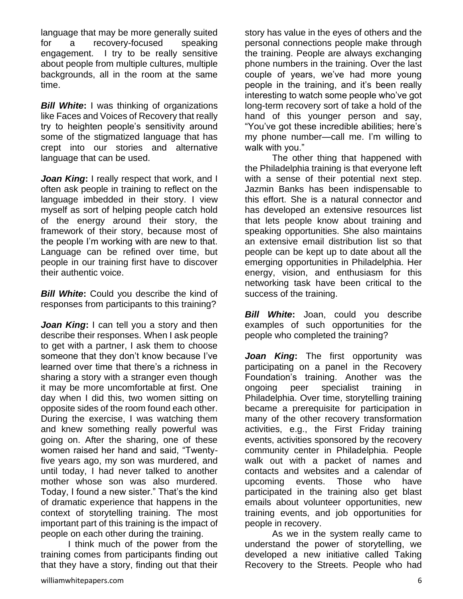language that may be more generally suited for a recovery-focused speaking engagement. I try to be really sensitive about people from multiple cultures, multiple backgrounds, all in the room at the same time.

*Bill White***:** I was thinking of organizations like Faces and Voices of Recovery that really try to heighten people's sensitivity around some of the stigmatized language that has crept into our stories and alternative language that can be used.

*Joan King***:** I really respect that work, and I often ask people in training to reflect on the language imbedded in their story. I view myself as sort of helping people catch hold of the energy around their story, the framework of their story, because most of the people I'm working with are new to that. Language can be refined over time, but people in our training first have to discover their authentic voice.

*Bill White***:** Could you describe the kind of responses from participants to this training?

*Joan King***:** I can tell you a story and then describe their responses. When I ask people to get with a partner, I ask them to choose someone that they don't know because I've learned over time that there's a richness in sharing a story with a stranger even though it may be more uncomfortable at first. One day when I did this, two women sitting on opposite sides of the room found each other. During the exercise, I was watching them and knew something really powerful was going on. After the sharing, one of these women raised her hand and said, "Twentyfive years ago, my son was murdered, and until today, I had never talked to another mother whose son was also murdered. Today, I found a new sister." That's the kind of dramatic experience that happens in the context of storytelling training. The most important part of this training is the impact of people on each other during the training.

I think much of the power from the training comes from participants finding out that they have a story, finding out that their

story has value in the eyes of others and the personal connections people make through the training. People are always exchanging phone numbers in the training. Over the last couple of years, we've had more young people in the training, and it's been really interesting to watch some people who've got long-term recovery sort of take a hold of the hand of this younger person and say, "You've got these incredible abilities; here's my phone number—call me. I'm willing to walk with you."

The other thing that happened with the Philadelphia training is that everyone left with a sense of their potential next step. Jazmin Banks has been indispensable to this effort. She is a natural connector and has developed an extensive resources list that lets people know about training and speaking opportunities. She also maintains an extensive email distribution list so that people can be kept up to date about all the emerging opportunities in Philadelphia. Her energy, vision, and enthusiasm for this networking task have been critical to the success of the training.

*Bill White***:** Joan, could you describe examples of such opportunities for the people who completed the training?

*Joan King***:** The first opportunity was participating on a panel in the Recovery Foundation's training. Another was the ongoing peer specialist training in Philadelphia. Over time, storytelling training became a prerequisite for participation in many of the other recovery transformation activities, e.g., the First Friday training events, activities sponsored by the recovery community center in Philadelphia. People walk out with a packet of names and contacts and websites and a calendar of upcoming events. Those who have participated in the training also get blast emails about volunteer opportunities, new training events, and job opportunities for people in recovery.

As we in the system really came to understand the power of storytelling, we developed a new initiative called Taking Recovery to the Streets. People who had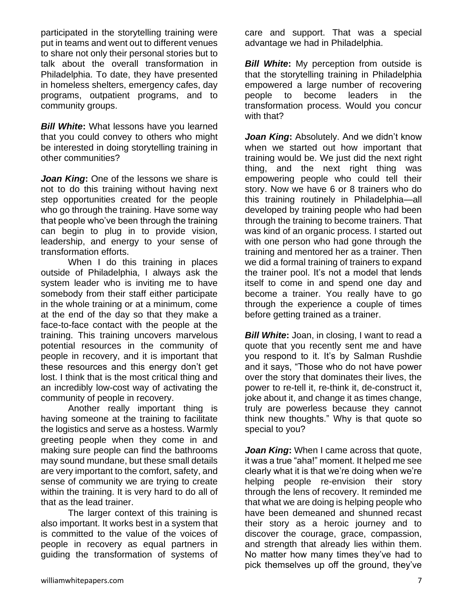participated in the storytelling training were put in teams and went out to different venues to share not only their personal stories but to talk about the overall transformation in Philadelphia. To date, they have presented in homeless shelters, emergency cafes, day programs, outpatient programs, and to community groups.

*Bill White***:** What lessons have you learned that you could convey to others who might be interested in doing storytelling training in other communities?

**Joan King:** One of the lessons we share is not to do this training without having next step opportunities created for the people who go through the training. Have some way that people who've been through the training can begin to plug in to provide vision, leadership, and energy to your sense of transformation efforts.

When I do this training in places outside of Philadelphia, I always ask the system leader who is inviting me to have somebody from their staff either participate in the whole training or at a minimum, come at the end of the day so that they make a face-to-face contact with the people at the training. This training uncovers marvelous potential resources in the community of people in recovery, and it is important that these resources and this energy don't get lost. I think that is the most critical thing and an incredibly low-cost way of activating the community of people in recovery.

Another really important thing is having someone at the training to facilitate the logistics and serve as a hostess. Warmly greeting people when they come in and making sure people can find the bathrooms may sound mundane, but these small details are very important to the comfort, safety, and sense of community we are trying to create within the training. It is very hard to do all of that as the lead trainer.

The larger context of this training is also important. It works best in a system that is committed to the value of the voices of people in recovery as equal partners in guiding the transformation of systems of

care and support. That was a special advantage we had in Philadelphia.

*Bill White:* My perception from outside is that the storytelling training in Philadelphia empowered a large number of recovering people to become leaders in the transformation process. Would you concur with that?

*Joan King***:** Absolutely. And we didn't know when we started out how important that training would be. We just did the next right thing, and the next right thing was empowering people who could tell their story. Now we have 6 or 8 trainers who do this training routinely in Philadelphia—all developed by training people who had been through the training to become trainers. That was kind of an organic process. I started out with one person who had gone through the training and mentored her as a trainer. Then we did a formal training of trainers to expand the trainer pool. It's not a model that lends itself to come in and spend one day and become a trainer. You really have to go through the experience a couple of times before getting trained as a trainer.

*Bill White***:** Joan, in closing, I want to read a quote that you recently sent me and have you respond to it. It's by Salman Rushdie and it says, "Those who do not have power over the story that dominates their lives, the power to re-tell it, re-think it, de-construct it, joke about it, and change it as times change, truly are powerless because they cannot think new thoughts." Why is that quote so special to you?

*Joan King***:** When I came across that quote, it was a true "aha!" moment. It helped me see clearly what it is that we're doing when we're helping people re-envision their story through the lens of recovery. It reminded me that what we are doing is helping people who have been demeaned and shunned recast their story as a heroic journey and to discover the courage, grace, compassion, and strength that already lies within them. No matter how many times they've had to pick themselves up off the ground, they've